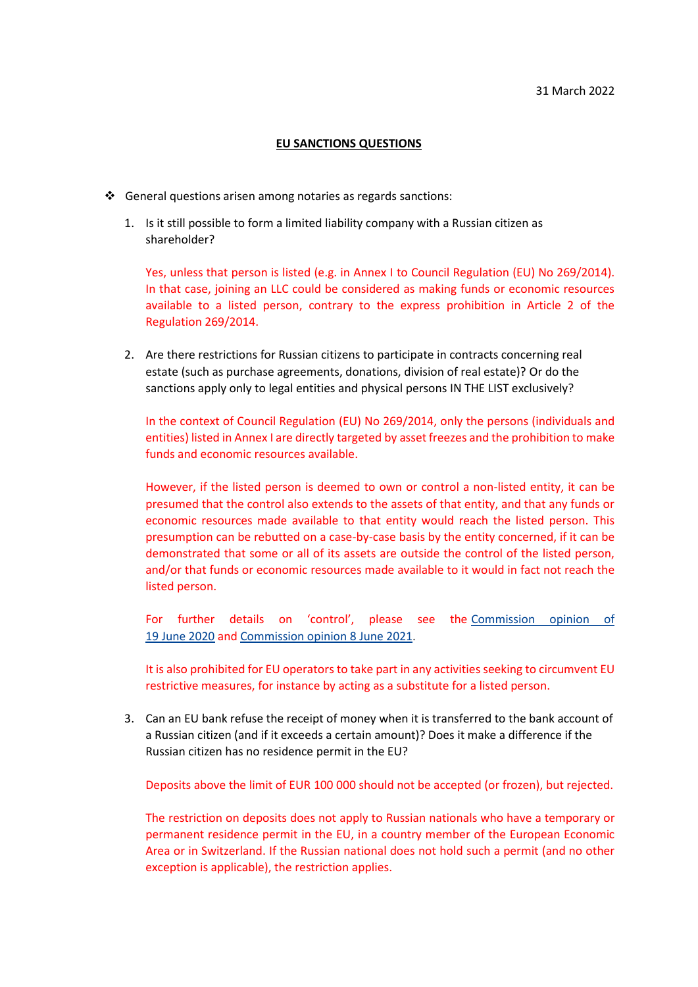## **EU SANCTIONS QUESTIONS**

- $\cdot$  General questions arisen among notaries as regards sanctions:
	- 1. Is it still possible to form a limited liability company with a Russian citizen as shareholder?

Yes, unless that person is listed (e.g. in Annex I to Council Regulation (EU) No 269/2014). In that case, joining an LLC could be considered as making funds or economic resources available to a listed person, contrary to the express prohibition in Article 2 of the Regulation 269/2014.

2. Are there restrictions for Russian citizens to participate in contracts concerning real estate (such as purchase agreements, donations, division of real estate)? Or do the sanctions apply only to legal entities and physical persons IN THE LIST exclusively?

In the context of Council Regulation (EU) No 269/2014, only the persons (individuals and entities) listed in Annex I are directly targeted by asset freezes and the prohibition to make funds and economic resources available.

However, if the listed person is deemed to own or control a non-listed entity, it can be presumed that the control also extends to the assets of that entity, and that any funds or economic resources made available to that entity would reach the listed person. This presumption can be rebutted on a case-by-case basis by the entity concerned, if it can be demonstrated that some or all of its assets are outside the control of the listed person, and/or that funds or economic resources made available to it would in fact not reach the listed person.

For further details on 'control', please see the [Commission opinion of](https://ec.europa.eu/info/files/200619-opinion-financial-sanctions_en)  19 June [2020](https://ec.europa.eu/info/files/200619-opinion-financial-sanctions_en) and [Commission opinion 8](https://ec.europa.eu/info/files/opinion-application-financial-sanctions-council-regulation-eu-no-269-2014-territorial-integrity-sovereignty-and-independence-ukraine_en) June 2021.

It is also prohibited for EU operators to take part in any activities seeking to circumvent EU restrictive measures, for instance by acting as a substitute for a listed person.

3. Can an EU bank refuse the receipt of money when it is transferred to the bank account of a Russian citizen (and if it exceeds a certain amount)? Does it make a difference if the Russian citizen has no residence permit in the EU?

Deposits above the limit of EUR 100 000 should not be accepted (or frozen), but rejected.

The restriction on deposits does not apply to Russian nationals who have a temporary or permanent residence permit in the EU, in a country member of the European Economic Area or in Switzerland. If the Russian national does not hold such a permit (and no other exception is applicable), the restriction applies.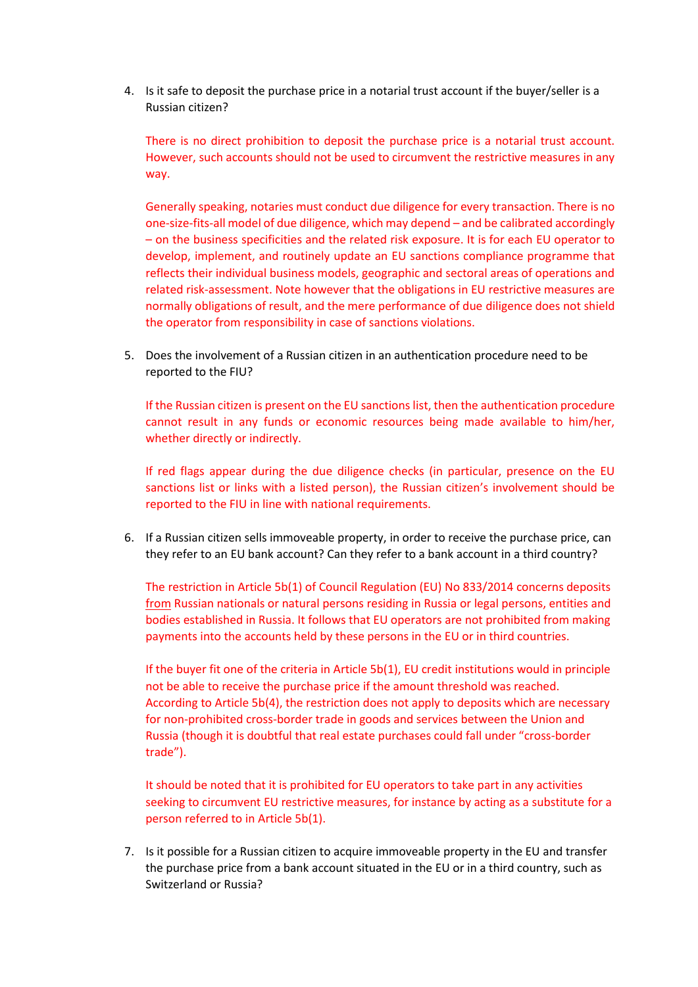4. Is it safe to deposit the purchase price in a notarial trust account if the buyer/seller is a Russian citizen?

There is no direct prohibition to deposit the purchase price is a notarial trust account. However, such accounts should not be used to circumvent the restrictive measures in any way.

Generally speaking, notaries must conduct due diligence for every transaction. There is no one-size-fits-all model of due diligence, which may depend – and be calibrated accordingly – on the business specificities and the related risk exposure. It is for each EU operator to develop, implement, and routinely update an EU sanctions compliance programme that reflects their individual business models, geographic and sectoral areas of operations and related risk-assessment. Note however that the obligations in EU restrictive measures are normally obligations of result, and the mere performance of due diligence does not shield the operator from responsibility in case of sanctions violations.

5. Does the involvement of a Russian citizen in an authentication procedure need to be reported to the FIU?

If the Russian citizen is present on the EU sanctions list, then the authentication procedure cannot result in any funds or economic resources being made available to him/her, whether directly or indirectly.

If red flags appear during the due diligence checks (in particular, presence on the EU sanctions list or links with a listed person), the Russian citizen's involvement should be reported to the FIU in line with national requirements.

6. If a Russian citizen sells immoveable property, in order to receive the purchase price, can they refer to an EU bank account? Can they refer to a bank account in a third country?

The restriction in Article 5b(1) of Council Regulation (EU) No 833/2014 concerns deposits from Russian nationals or natural persons residing in Russia or legal persons, entities and bodies established in Russia. It follows that EU operators are not prohibited from making payments into the accounts held by these persons in the EU or in third countries.

If the buyer fit one of the criteria in Article 5b(1), EU credit institutions would in principle not be able to receive the purchase price if the amount threshold was reached. According to Article 5b(4), the restriction does not apply to deposits which are necessary for non-prohibited cross-border trade in goods and services between the Union and Russia (though it is doubtful that real estate purchases could fall under "cross-border trade").

It should be noted that it is prohibited for EU operators to take part in any activities seeking to circumvent EU restrictive measures, for instance by acting as a substitute for a person referred to in Article 5b(1).

7. Is it possible for a Russian citizen to acquire immoveable property in the EU and transfer the purchase price from a bank account situated in the EU or in a third country, such as Switzerland or Russia?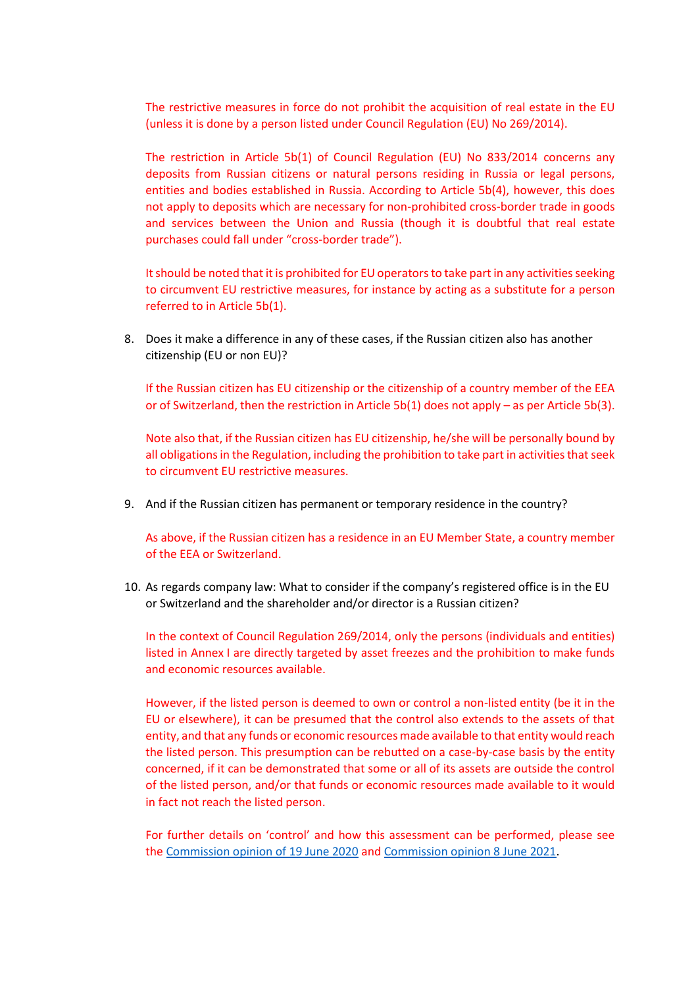The restrictive measures in force do not prohibit the acquisition of real estate in the EU (unless it is done by a person listed under Council Regulation (EU) No 269/2014).

The restriction in Article 5b(1) of Council Regulation (EU) No 833/2014 concerns any deposits from Russian citizens or natural persons residing in Russia or legal persons, entities and bodies established in Russia. According to Article 5b(4), however, this does not apply to deposits which are necessary for non-prohibited cross-border trade in goods and services between the Union and Russia (though it is doubtful that real estate purchases could fall under "cross-border trade").

It should be noted that it is prohibited for EU operators to take part in any activities seeking to circumvent EU restrictive measures, for instance by acting as a substitute for a person referred to in Article 5b(1).

8. Does it make a difference in any of these cases, if the Russian citizen also has another citizenship (EU or non EU)?

If the Russian citizen has EU citizenship or the citizenship of a country member of the EEA or of Switzerland, then the restriction in Article 5b(1) does not apply – as per Article 5b(3).

Note also that, if the Russian citizen has EU citizenship, he/she will be personally bound by all obligations in the Regulation, including the prohibition to take part in activities that seek to circumvent EU restrictive measures.

9. And if the Russian citizen has permanent or temporary residence in the country?

As above, if the Russian citizen has a residence in an EU Member State, a country member of the EEA or Switzerland.

10. As regards company law: What to consider if the company's registered office is in the EU or Switzerland and the shareholder and/or director is a Russian citizen?

In the context of Council Regulation 269/2014, only the persons (individuals and entities) listed in Annex I are directly targeted by asset freezes and the prohibition to make funds and economic resources available.

However, if the listed person is deemed to own or control a non-listed entity (be it in the EU or elsewhere), it can be presumed that the control also extends to the assets of that entity, and that any funds or economic resources made available to that entity would reach the listed person. This presumption can be rebutted on a case-by-case basis by the entity concerned, if it can be demonstrated that some or all of its assets are outside the control of the listed person, and/or that funds or economic resources made available to it would in fact not reach the listed person.

For further details on 'control' and how this assessment can be performed, please see the [Commission opinion of 19](https://ec.europa.eu/info/files/200619-opinion-financial-sanctions_en) June 2020 and [Commission opinion 8](https://ec.europa.eu/info/files/opinion-application-financial-sanctions-council-regulation-eu-no-269-2014-territorial-integrity-sovereignty-and-independence-ukraine_en) June 2021.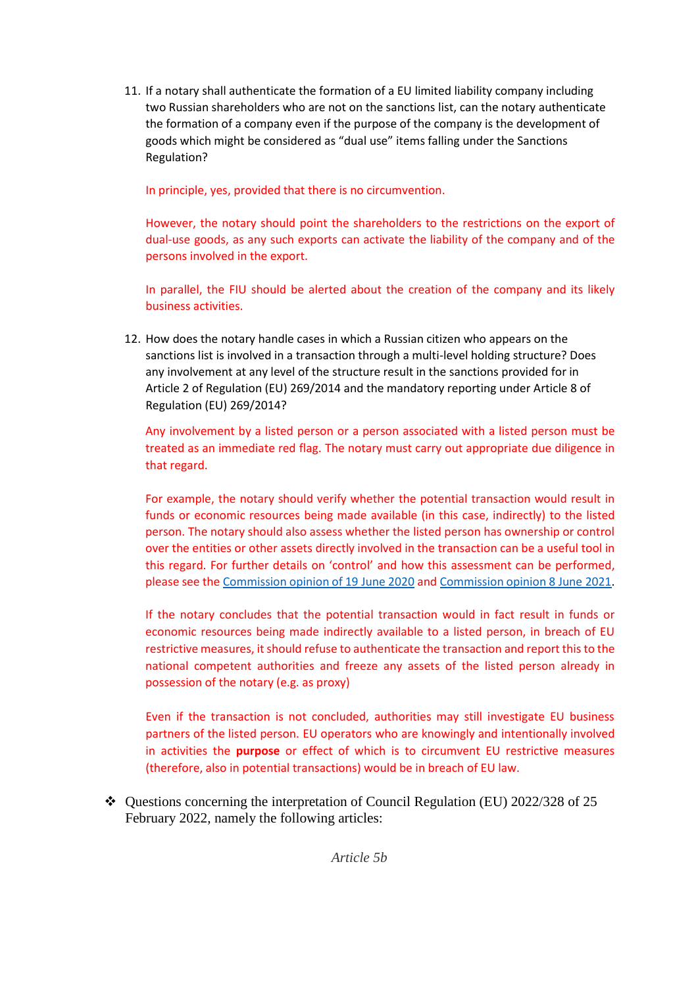11. If a notary shall authenticate the formation of a EU limited liability company including two Russian shareholders who are not on the sanctions list, can the notary authenticate the formation of a company even if the purpose of the company is the development of goods which might be considered as "dual use" items falling under the Sanctions Regulation?

In principle, yes, provided that there is no circumvention.

However, the notary should point the shareholders to the restrictions on the export of dual-use goods, as any such exports can activate the liability of the company and of the persons involved in the export.

In parallel, the FIU should be alerted about the creation of the company and its likely business activities.

12. How does the notary handle cases in which a Russian citizen who appears on the sanctions list is involved in a transaction through a multi-level holding structure? Does any involvement at any level of the structure result in the sanctions provided for in Article 2 of Regulation (EU) 269/2014 and the mandatory reporting under Article 8 of Regulation (EU) 269/2014?

Any involvement by a listed person or a person associated with a listed person must be treated as an immediate red flag. The notary must carry out appropriate due diligence in that regard.

For example, the notary should verify whether the potential transaction would result in funds or economic resources being made available (in this case, indirectly) to the listed person. The notary should also assess whether the listed person has ownership or control over the entities or other assets directly involved in the transaction can be a useful tool in this regard. For further details on 'control' and how this assessment can be performed, please see the [Commission opinion of 19](https://ec.europa.eu/info/files/200619-opinion-financial-sanctions_en) June 2020 and [Commission opinion 8](https://ec.europa.eu/info/files/opinion-application-financial-sanctions-council-regulation-eu-no-269-2014-territorial-integrity-sovereignty-and-independence-ukraine_en) June 2021.

If the notary concludes that the potential transaction would in fact result in funds or economic resources being made indirectly available to a listed person, in breach of EU restrictive measures, it should refuse to authenticate the transaction and report this to the national competent authorities and freeze any assets of the listed person already in possession of the notary (e.g. as proxy)

Even if the transaction is not concluded, authorities may still investigate EU business partners of the listed person. EU operators who are knowingly and intentionally involved in activities the **purpose** or effect of which is to circumvent EU restrictive measures (therefore, also in potential transactions) would be in breach of EU law.

 $\div$  Questions concerning the interpretation of Council Regulation (EU) 2022/328 of 25 February 2022, namely the following articles: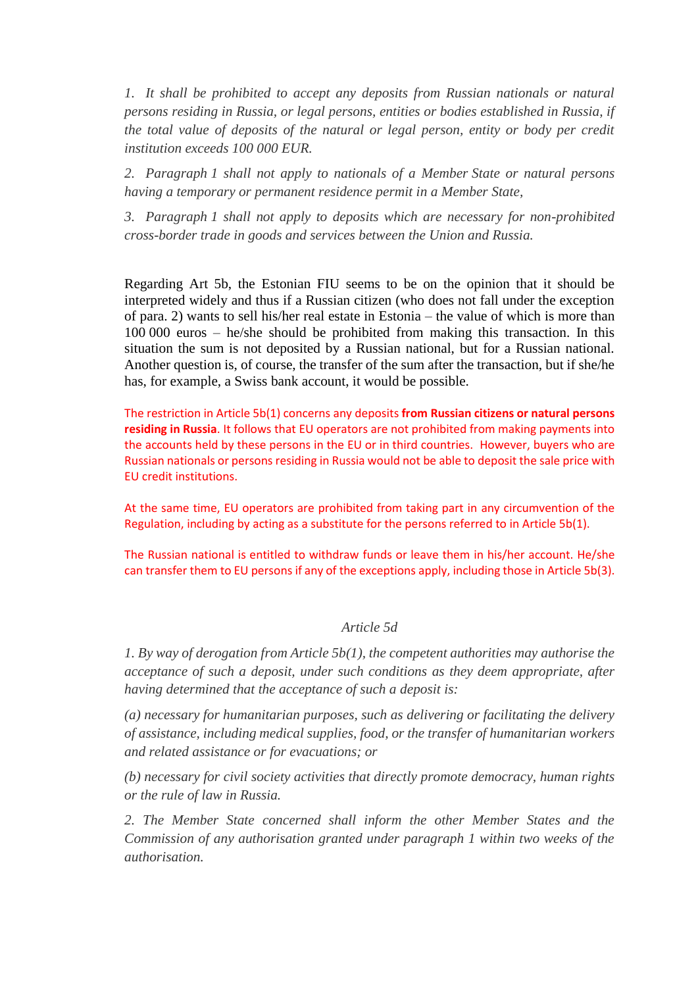*1. It shall be prohibited to accept any deposits from Russian nationals or natural persons residing in Russia, or legal persons, entities or bodies established in Russia, if the total value of deposits of the natural or legal person, entity or body per credit institution exceeds 100 000 EUR.*

*2. Paragraph 1 shall not apply to nationals of a Member State or natural persons having a temporary or permanent residence permit in a Member State,*

*3. Paragraph 1 shall not apply to deposits which are necessary for non-prohibited cross-border trade in goods and services between the Union and Russia.*

Regarding Art 5b, the Estonian FIU seems to be on the opinion that it should be interpreted widely and thus if a Russian citizen (who does not fall under the exception of para. 2) wants to sell his/her real estate in Estonia – the value of which is more than 100 000 euros – he/she should be prohibited from making this transaction. In this situation the sum is not deposited by a Russian national, but for a Russian national. Another question is, of course, the transfer of the sum after the transaction, but if she/he has, for example, a Swiss bank account, it would be possible.

The restriction in Article 5b(1) concerns any deposits **from Russian citizens or natural persons residing in Russia**. It follows that EU operators are not prohibited from making payments into the accounts held by these persons in the EU or in third countries. However, buyers who are Russian nationals or persons residing in Russia would not be able to deposit the sale price with EU credit institutions.

At the same time, EU operators are prohibited from taking part in any circumvention of the Regulation, including by acting as a substitute for the persons referred to in Article 5b(1).

The Russian national is entitled to withdraw funds or leave them in his/her account. He/she can transfer them to EU persons if any of the exceptions apply, including those in Article 5b(3).

## *Article 5d*

*1. By way of derogation from Article 5b(1), the competent authorities may authorise the acceptance of such a deposit, under such conditions as they deem appropriate, after having determined that the acceptance of such a deposit is:* 

*(a) necessary for humanitarian purposes, such as delivering or facilitating the delivery of assistance, including medical supplies, food, or the transfer of humanitarian workers and related assistance or for evacuations; or* 

*(b) necessary for civil society activities that directly promote democracy, human rights or the rule of law in Russia.* 

*2. The Member State concerned shall inform the other Member States and the Commission of any authorisation granted under paragraph 1 within two weeks of the authorisation.*